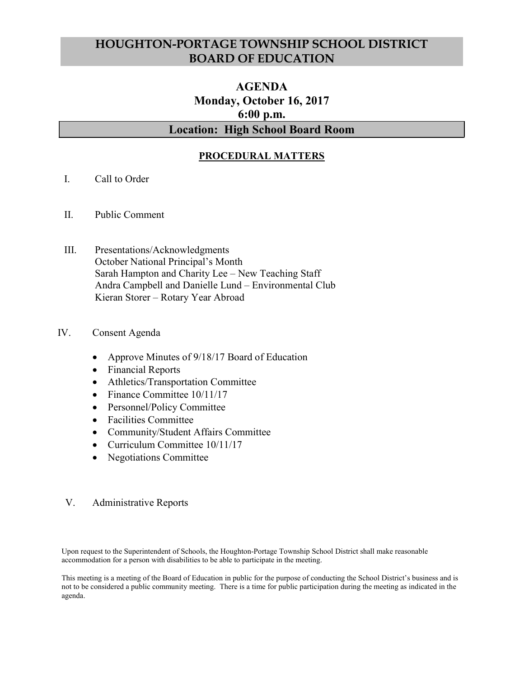# HOUGHTON-PORTAGE TOWNSHIP SCHOOL DISTRICT BOARD OF EDUCATION

# AGENDA Monday, October 16, 2017 6:00 p.m. Location: High School Board Room

## PROCEDURAL MATTERS

- I. Call to Order
- II. Public Comment
- III. Presentations/Acknowledgments October National Principal's Month Sarah Hampton and Charity Lee – New Teaching Staff Andra Campbell and Danielle Lund – Environmental Club Kieran Storer – Rotary Year Abroad

#### IV. Consent Agenda

- Approve Minutes of 9/18/17 Board of Education
- Financial Reports
- Athletics/Transportation Committee
- Finance Committee 10/11/17
- Personnel/Policy Committee
- Facilities Committee
- Community/Student Affairs Committee
- Curriculum Committee 10/11/17
- Negotiations Committee

#### V. Administrative Reports

Upon request to the Superintendent of Schools, the Houghton-Portage Township School District shall make reasonable accommodation for a person with disabilities to be able to participate in the meeting.

This meeting is a meeting of the Board of Education in public for the purpose of conducting the School District's business and is not to be considered a public community meeting. There is a time for public participation during the meeting as indicated in the agenda.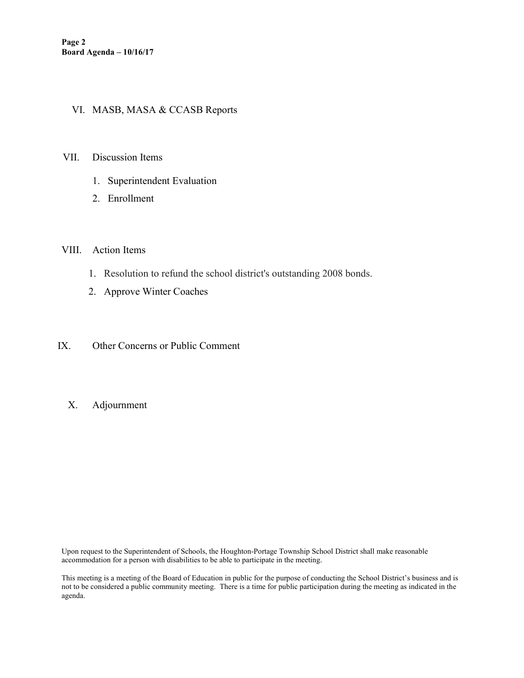### VI. MASB, MASA & CCASB Reports

- VII. Discussion Items
	- 1. Superintendent Evaluation
	- 2. Enrollment

#### VIII. Action Items

- 1. Resolution to refund the school district's outstanding 2008 bonds.
- 2. Approve Winter Coaches
- IX. Other Concerns or Public Comment
	- X. Adjournment

Upon request to the Superintendent of Schools, the Houghton-Portage Township School District shall make reasonable accommodation for a person with disabilities to be able to participate in the meeting.

This meeting is a meeting of the Board of Education in public for the purpose of conducting the School District's business and is not to be considered a public community meeting. There is a time for public participation during the meeting as indicated in the agenda.